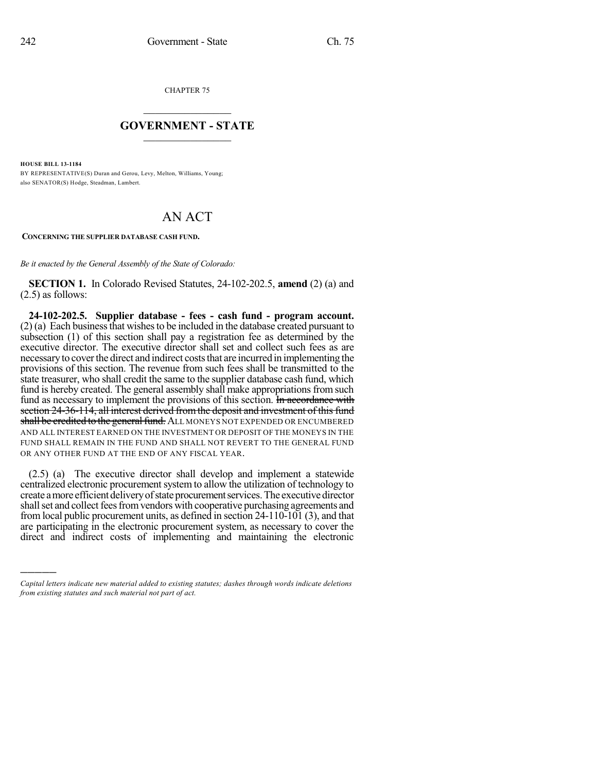CHAPTER 75

## $\overline{\phantom{a}}$  . The set of the set of the set of the set of the set of the set of the set of the set of the set of the set of the set of the set of the set of the set of the set of the set of the set of the set of the set o **GOVERNMENT - STATE**  $\_$

**HOUSE BILL 13-1184**

)))))

BY REPRESENTATIVE(S) Duran and Gerou, Levy, Melton, Williams, Young; also SENATOR(S) Hodge, Steadman, Lambert.

## AN ACT

## **CONCERNING THE SUPPLIER DATABASE CASH FUND.**

*Be it enacted by the General Assembly of the State of Colorado:*

**SECTION 1.** In Colorado Revised Statutes, 24-102-202.5, **amend** (2) (a) and (2.5) as follows:

**24-102-202.5. Supplier database - fees - cash fund - program account.**  $(2)$  (a) Each business that wishes to be included in the database created pursuant to subsection (1) of this section shall pay a registration fee as determined by the executive director. The executive director shall set and collect such fees as are necessary to cover the direct and indirect costs that are incurred in implementing the provisions of this section. The revenue from such fees shall be transmitted to the state treasurer, who shall credit the same to the supplier database cash fund, which fund is hereby created. The general assembly shall make appropriations from such fund as necessary to implement the provisions of this section. In accordance with section 24-36-114, all interest derived from the deposit and investment of this fund shall be credited to the general fund. ALL MONEYS NOT EXPENDED OR ENCUMBERED AND ALL INTEREST EARNED ON THE INVESTMENT OR DEPOSIT OF THE MONEYS IN THE FUND SHALL REMAIN IN THE FUND AND SHALL NOT REVERT TO THE GENERAL FUND OR ANY OTHER FUND AT THE END OF ANY FISCAL YEAR.

(2.5) (a) The executive director shall develop and implement a statewide centralized electronic procurement system to allow the utilization of technology to create a more efficient delivery of state procurement services. The executive director shall set and collect fees from vendors with cooperative purchasing agreements and from local public procurement units, as defined in section 24-110-101 (3), and that are participating in the electronic procurement system, as necessary to cover the direct and indirect costs of implementing and maintaining the electronic

*Capital letters indicate new material added to existing statutes; dashes through words indicate deletions from existing statutes and such material not part of act.*